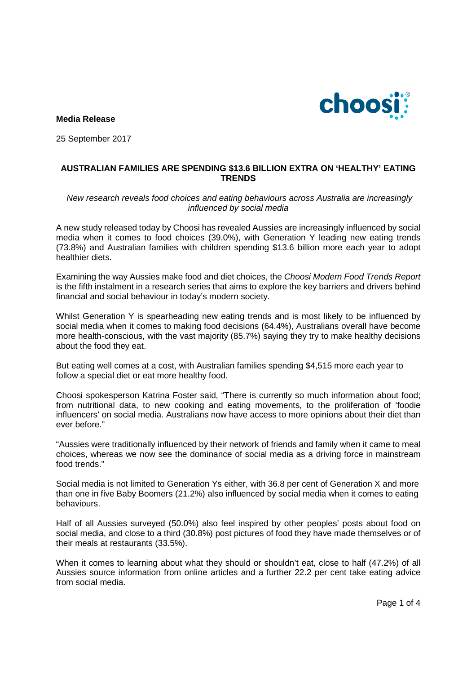

**Media Release** 

25 September 2017

### **AUSTRALIAN FAMILIES ARE SPENDING \$13.6 BILLION EXTRA ON 'HEALTHY' EATING TRENDS**

#### New research reveals food choices and eating behaviours across Australia are increasingly influenced by social media

A new study released today by Choosi has revealed Aussies are increasingly influenced by social media when it comes to food choices (39.0%), with Generation Y leading new eating trends (73.8%) and Australian families with children spending \$13.6 billion more each year to adopt healthier diets.

Examining the way Aussies make food and diet choices, the Choosi Modern Food Trends Report is the fifth instalment in a research series that aims to explore the key barriers and drivers behind financial and social behaviour in today's modern society.

Whilst Generation Y is spearheading new eating trends and is most likely to be influenced by social media when it comes to making food decisions (64.4%), Australians overall have become more health-conscious, with the vast majority (85.7%) saying they try to make healthy decisions about the food they eat.

But eating well comes at a cost, with Australian families spending \$4,515 more each year to follow a special diet or eat more healthy food.

Choosi spokesperson Katrina Foster said, "There is currently so much information about food; from nutritional data, to new cooking and eating movements, to the proliferation of 'foodie influencers' on social media. Australians now have access to more opinions about their diet than ever before."

"Aussies were traditionally influenced by their network of friends and family when it came to meal choices, whereas we now see the dominance of social media as a driving force in mainstream food trends."

Social media is not limited to Generation Ys either, with 36.8 per cent of Generation X and more than one in five Baby Boomers (21.2%) also influenced by social media when it comes to eating behaviours.

Half of all Aussies surveyed (50.0%) also feel inspired by other peoples' posts about food on social media, and close to a third (30.8%) post pictures of food they have made themselves or of their meals at restaurants (33.5%).

When it comes to learning about what they should or shouldn't eat, close to half (47.2%) of all Aussies source information from online articles and a further 22.2 per cent take eating advice from social media.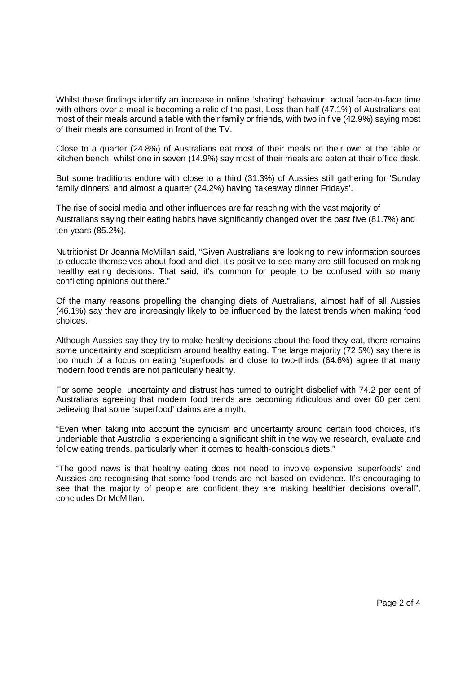Whilst these findings identify an increase in online 'sharing' behaviour, actual face-to-face time with others over a meal is becoming a relic of the past. Less than half (47.1%) of Australians eat most of their meals around a table with their family or friends, with two in five (42.9%) saying most of their meals are consumed in front of the TV.

Close to a quarter (24.8%) of Australians eat most of their meals on their own at the table or kitchen bench, whilst one in seven (14.9%) say most of their meals are eaten at their office desk.

But some traditions endure with close to a third (31.3%) of Aussies still gathering for 'Sunday family dinners' and almost a quarter (24.2%) having 'takeaway dinner Fridays'.

The rise of social media and other influences are far reaching with the vast majority of Australians saying their eating habits have significantly changed over the past five (81.7%) and ten years (85.2%).

Nutritionist Dr Joanna McMillan said, "Given Australians are looking to new information sources to educate themselves about food and diet, it's positive to see many are still focused on making healthy eating decisions. That said, it's common for people to be confused with so many conflicting opinions out there."

Of the many reasons propelling the changing diets of Australians, almost half of all Aussies (46.1%) say they are increasingly likely to be influenced by the latest trends when making food choices.

Although Aussies say they try to make healthy decisions about the food they eat, there remains some uncertainty and scepticism around healthy eating. The large majority (72.5%) say there is too much of a focus on eating 'superfoods' and close to two-thirds (64.6%) agree that many modern food trends are not particularly healthy.

For some people, uncertainty and distrust has turned to outright disbelief with 74.2 per cent of Australians agreeing that modern food trends are becoming ridiculous and over 60 per cent believing that some 'superfood' claims are a myth.

"Even when taking into account the cynicism and uncertainty around certain food choices, it's undeniable that Australia is experiencing a significant shift in the way we research, evaluate and follow eating trends, particularly when it comes to health-conscious diets."

"The good news is that healthy eating does not need to involve expensive 'superfoods' and Aussies are recognising that some food trends are not based on evidence. It's encouraging to see that the majority of people are confident they are making healthier decisions overall", concludes Dr McMillan.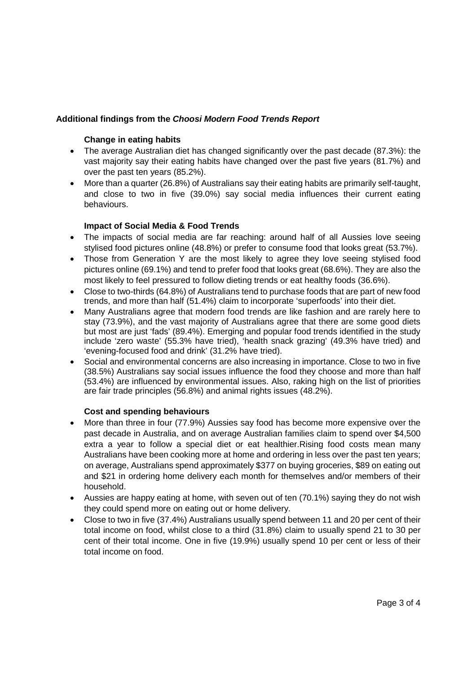# **Additional findings from the Choosi Modern Food Trends Report**

### **Change in eating habits**

- The average Australian diet has changed significantly over the past decade (87.3%): the vast majority say their eating habits have changed over the past five years (81.7%) and over the past ten years (85.2%).
- More than a quarter (26.8%) of Australians say their eating habits are primarily self-taught, and close to two in five (39.0%) say social media influences their current eating behaviours.

## **Impact of Social Media & Food Trends**

- The impacts of social media are far reaching: around half of all Aussies love seeing stylised food pictures online (48.8%) or prefer to consume food that looks great (53.7%).
- Those from Generation Y are the most likely to agree they love seeing stylised food pictures online (69.1%) and tend to prefer food that looks great (68.6%). They are also the most likely to feel pressured to follow dieting trends or eat healthy foods (36.6%).
- Close to two-thirds (64.8%) of Australians tend to purchase foods that are part of new food trends, and more than half (51.4%) claim to incorporate 'superfoods' into their diet.
- Many Australians agree that modern food trends are like fashion and are rarely here to stay (73.9%), and the vast majority of Australians agree that there are some good diets but most are just 'fads' (89.4%). Emerging and popular food trends identified in the study include 'zero waste' (55.3% have tried), 'health snack grazing' (49.3% have tried) and 'evening-focused food and drink' (31.2% have tried).
- Social and environmental concerns are also increasing in importance. Close to two in five (38.5%) Australians say social issues influence the food they choose and more than half (53.4%) are influenced by environmental issues. Also, raking high on the list of priorities are fair trade principles (56.8%) and animal rights issues (48.2%).

### **Cost and spending behaviours**

- More than three in four (77.9%) Aussies say food has become more expensive over the past decade in Australia, and on average Australian families claim to spend over \$4,500 extra a year to follow a special diet or eat healthier.Rising food costs mean many Australians have been cooking more at home and ordering in less over the past ten years; on average, Australians spend approximately \$377 on buying groceries, \$89 on eating out and \$21 in ordering home delivery each month for themselves and/or members of their household.
- Aussies are happy eating at home, with seven out of ten (70.1%) saying they do not wish they could spend more on eating out or home delivery.
- Close to two in five (37.4%) Australians usually spend between 11 and 20 per cent of their total income on food, whilst close to a third (31.8%) claim to usually spend 21 to 30 per cent of their total income. One in five (19.9%) usually spend 10 per cent or less of their total income on food.